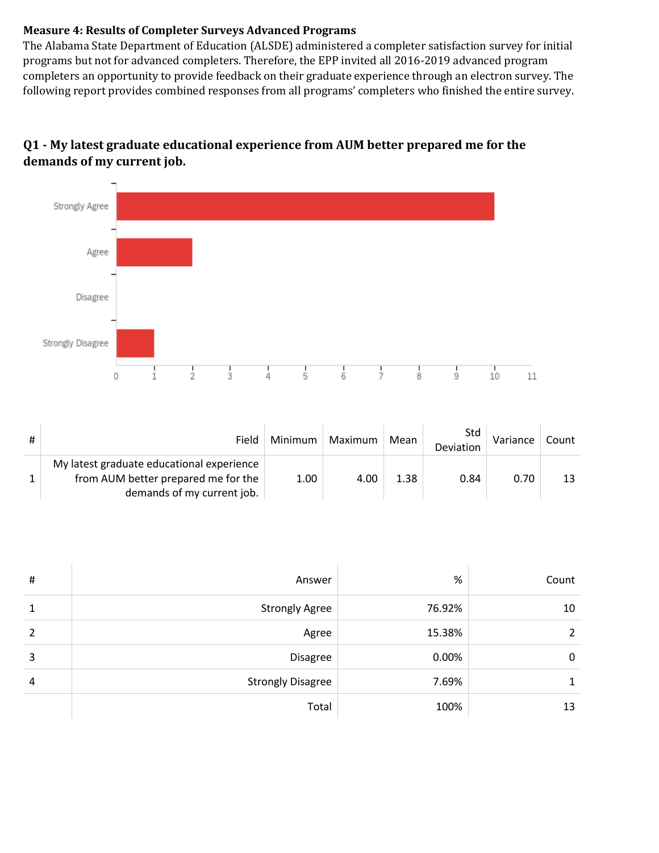## **Measure 4: Results of Completer Surveys Advanced Programs**

The Alabama State Department of Education (ALSDE) administered a completer satisfaction survey for initial programs but not for advanced completers. Therefore, the EPP invited all 2016-2019 advanced program completers an opportunity to provide feedback on their graduate experience through an electron survey. The following report provides combined responses from all programs' completers who finished the entire survey.

## **Q1** - My latest graduate educational experience from AUM better prepared me for the demands of my current job.



| # | Field                                                                                                          | Minimum | Maximum | Mean | Std<br>Deviation | Variance | Count |
|---|----------------------------------------------------------------------------------------------------------------|---------|---------|------|------------------|----------|-------|
|   | My latest graduate educational experience<br>from AUM better prepared me for the<br>demands of my current job. | 1.00    | 4.00    | 1.38 | 0.84             | 0.70     |       |

| $\sharp$ | Answer                   | %      | Count |
|----------|--------------------------|--------|-------|
| 1        | <b>Strongly Agree</b>    | 76.92% | 10    |
| 2        | Agree                    | 15.38% | 2     |
| 3        | Disagree                 | 0.00%  | 0     |
| 4        | <b>Strongly Disagree</b> | 7.69%  |       |
|          | Total                    | 100%   | 13    |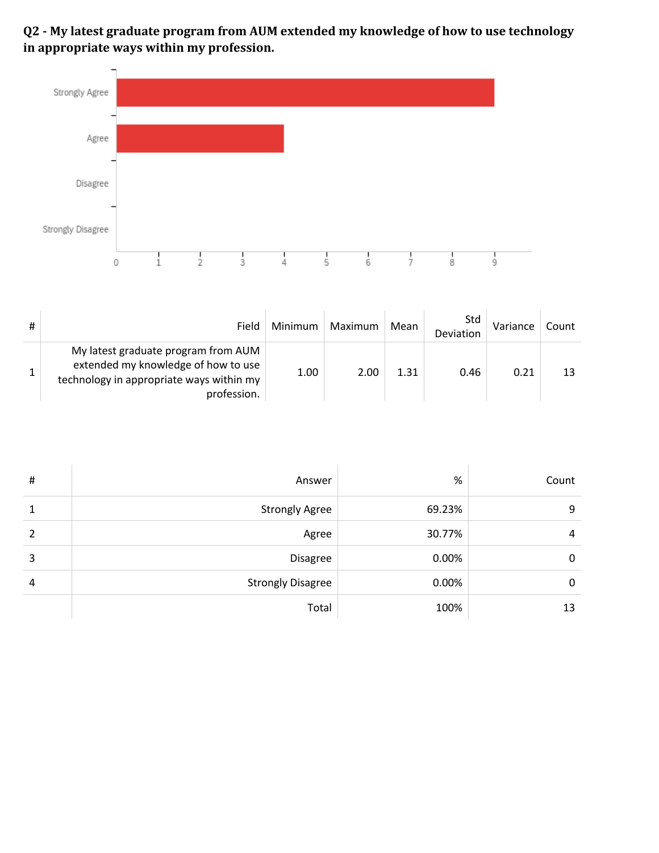Q2 - My latest graduate program from AUM extended my knowledge of how to use technology in appropriate ways within my profession.



| # | Field                                                                                                                                 | Minimum | Maximum | Mean | Std<br>Deviation | Variance | Count |
|---|---------------------------------------------------------------------------------------------------------------------------------------|---------|---------|------|------------------|----------|-------|
|   | My latest graduate program from AUM<br>extended my knowledge of how to use<br>technology in appropriate ways within my<br>profession. | 1.00    | 2.00    | 1.31 | 0.46             | 0.21     |       |

| # | Answer                   | %      | Count |
|---|--------------------------|--------|-------|
| 1 | <b>Strongly Agree</b>    | 69.23% | 9     |
| 2 | Agree                    | 30.77% | 4     |
| 3 | Disagree                 | 0.00%  | 0     |
| 4 | <b>Strongly Disagree</b> | 0.00%  | 0     |
|   | Total                    | 100%   | 13    |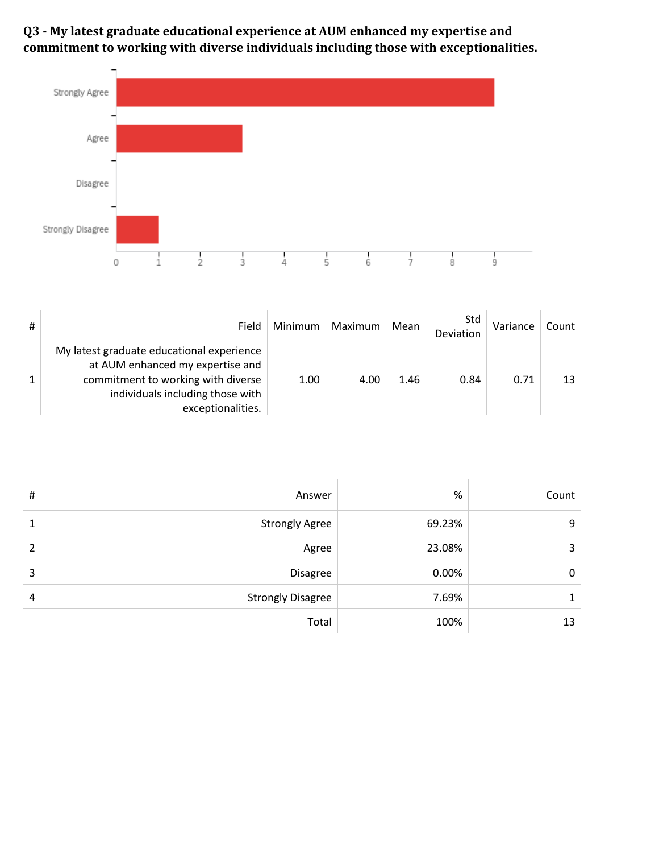**Q3 - My latest graduate educational experience at AUM enhanced my expertise and**  commitment to working with diverse individuals including those with exceptionalities.



| # | Field                                                                                                                                                                        | Minimum | Maximum | Mean | Std<br>Deviation | Variance | Count |
|---|------------------------------------------------------------------------------------------------------------------------------------------------------------------------------|---------|---------|------|------------------|----------|-------|
|   | My latest graduate educational experience<br>at AUM enhanced my expertise and<br>commitment to working with diverse<br>individuals including those with<br>exceptionalities. | 1.00    | 4.00    | 1.46 | 0.84             | 0.71     |       |

| $\#$ | Answer                   | %      | Count |
|------|--------------------------|--------|-------|
| 1    | <b>Strongly Agree</b>    | 69.23% | 9     |
| 2    | Agree                    | 23.08% | 3     |
| 3    | Disagree                 | 0.00%  | 0     |
| 4    | <b>Strongly Disagree</b> | 7.69%  |       |
|      | Total                    | 100%   | 13    |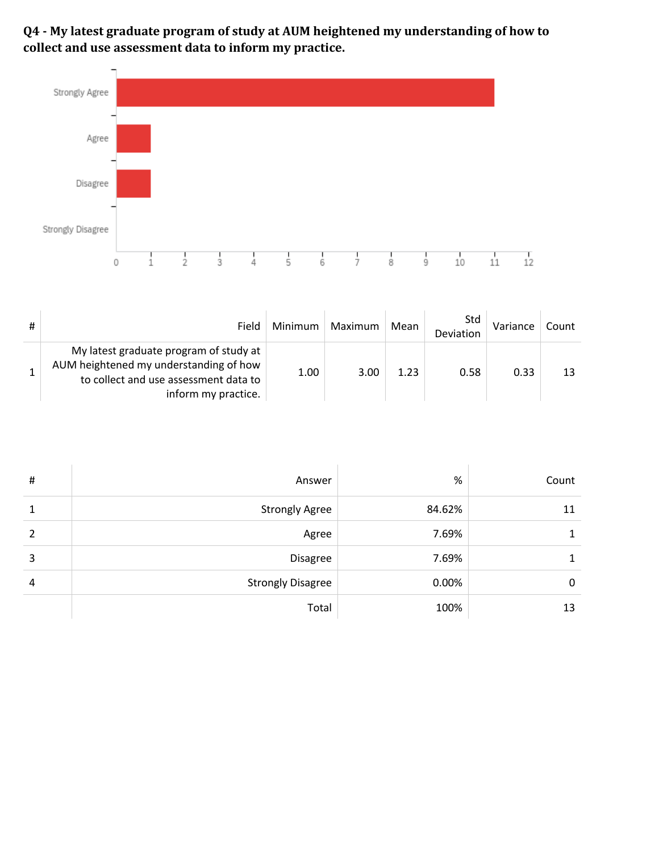**Q4 - My latest graduate program of study at AUM heightened my understanding of how to**  collect and use assessment data to inform my practice.



| # | Field                                                                                                                                            | Minimum | Maximum | Mean | Std<br>Deviation | Variance | Count |
|---|--------------------------------------------------------------------------------------------------------------------------------------------------|---------|---------|------|------------------|----------|-------|
|   | My latest graduate program of study at<br>AUM heightened my understanding of how<br>to collect and use assessment data to<br>inform my practice. | 1.00    | 3.00    | 1.23 | 0.58             | 0.33     |       |

| # | Answer                   | %      | Count |
|---|--------------------------|--------|-------|
| 1 | <b>Strongly Agree</b>    | 84.62% | 11    |
| 2 | Agree                    | 7.69%  |       |
| 3 | Disagree                 | 7.69%  |       |
| 4 | <b>Strongly Disagree</b> | 0.00%  | 0     |
|   | Total                    | 100%   | 13    |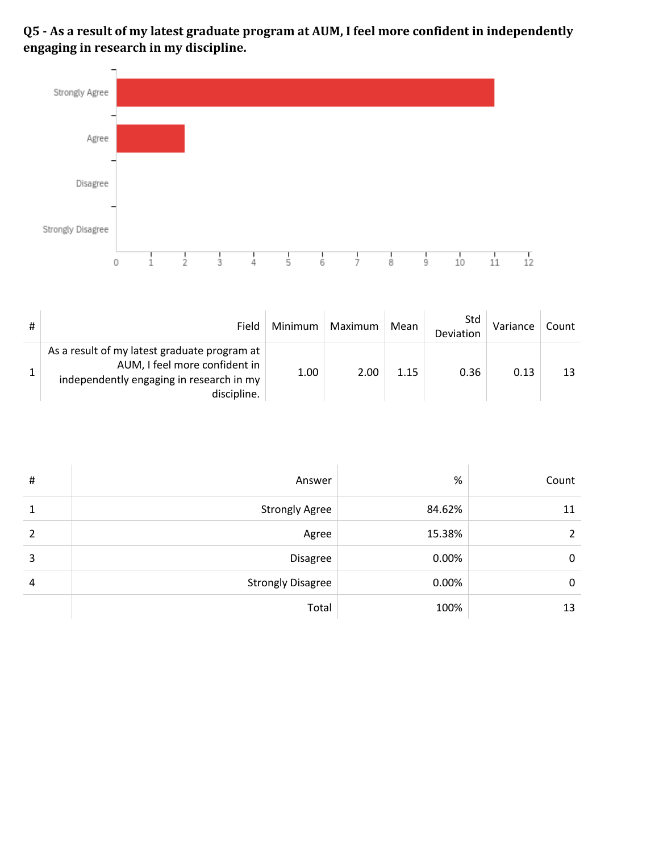**Q5** - As a result of my latest graduate program at AUM, I feel more confident in independently engaging in research in my discipline.



| # | Field                                                                                                                                    | Minimum | Maximum | Mean | Std<br>Deviation | Variance | Count |
|---|------------------------------------------------------------------------------------------------------------------------------------------|---------|---------|------|------------------|----------|-------|
|   | As a result of my latest graduate program at<br>AUM, I feel more confident in<br>independently engaging in research in my<br>discipline. | 1.00    | 2.00    | 1.15 | 0.36             | 0.13     |       |

| #             | Answer                   | $\%$   | Count |
|---------------|--------------------------|--------|-------|
|               | <b>Strongly Agree</b>    | 84.62% | 11    |
| $\mathcal{P}$ | Agree                    | 15.38% | 2     |
| 3             | Disagree                 | 0.00%  | 0     |
| 4             | <b>Strongly Disagree</b> | 0.00%  | 0     |
|               | Total                    | 100%   | 13    |